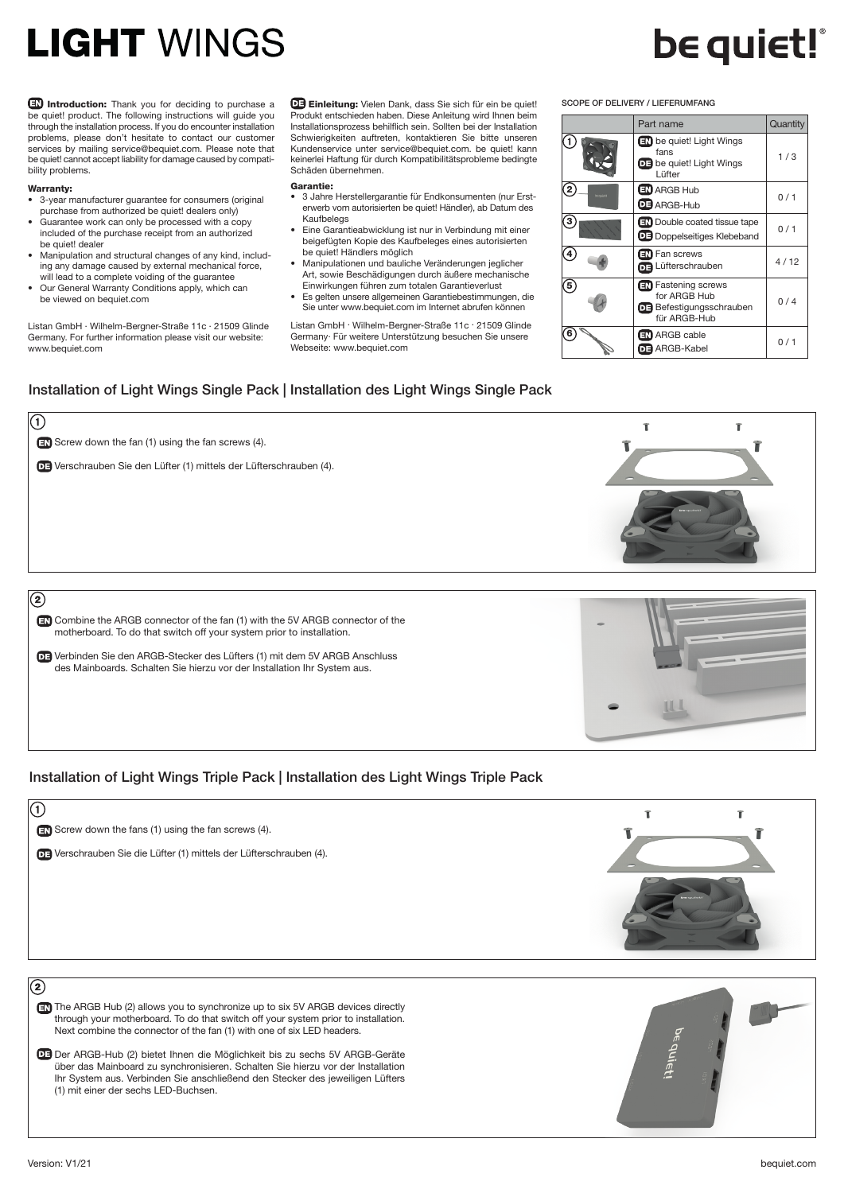## **LIGHT WINGS**

Introduction: Thank you for deciding to purchase a be quiet! product. The following instructions will guide you through the installation process. If you do encounter installation problems, please don't hesitate to contact our customer services by mailing service@bequiet.com. Please note that be quiet! cannot accept liability for damage caused by compatibility problems.

#### Warranty:

- 3-year manufacturer guarantee for consumers (original
- purchase from authorized be quiet! dealers only) • Guarantee work can only be processed with a copy included of the purchase receipt from an authorized
- be quiet! dealer • Manipulation and structural changes of any kind, including any damage caused by external mechanical force,
- will lead to a complete voiding of the guarantee • Our General Warranty Conditions apply, which can be viewed on bequiet.com

Listan GmbH · Wilhelm-Bergner-Straße 11c · 21509 Glinde Germany. For further information please visit our website: www.bequiet.com

Einleitung: Vielen Dank, dass Sie sich für ein be quiet! Produkt entschieden haben. Diese Anleitung wird Ihnen beim Installationsprozess behilflich sein. Sollten bei der Installation Schwierigkeiten auftreten, kontaktieren Sie bitte unseren Kundenservice unter service@bequiet.com. be quiet! kann keinerlei Haftung für durch Kompatibilitätsprobleme bedingte Schäden übernehmen.

#### Garantie:

- 3 Jahre Herstellergarantie für Endkonsumenten (nur Ersterwerb vom autorisierten be quiet! Händler), ab Datum des Kaufbelegs
- Eine Garantieabwicklung ist nur in Verbindung mit einer beigefügten Kopie des Kaufbeleges eines autorisierten be quiet! Händlers möglich
- Manipulationen und bauliche Veränderungen jeglicher Art, sowie Beschädigungen durch äußere mechanische Einwirkungen führen zum totalen Garantieverlust
- Es gelten unsere allgemeinen Garantiebestimmungen, die Sie unter www.bequiet.com im Internet abrufen können

Listan GmbH . Wilhelm-Bergner-Straße 11c . 21509 Glinde Germany. Für weitere Unterstützung besuchen Sie unsere Webseite: www.bequiet.com

### Installation of Light Wings Single Pack | Installation des Light Wings Single Pack



### Installation of Light Wings Triple Pack | Installation des Light Wings Triple Pack

| $\sqrt{a}$                                                                                                                                                             |         |
|------------------------------------------------------------------------------------------------------------------------------------------------------------------------|---------|
| $\Box$ Screw down the fans (1) using the fan screws (4).                                                                                                               |         |
| OF Verschrauben Sie die Lüfter (1) mittels der Lüfterschrauben (4).                                                                                                    |         |
|                                                                                                                                                                        | be gule |
| $\circledR$                                                                                                                                                            |         |
| EN The ARGB Hub (2) allows you to synchronize up to six 5V ARGB devices directly<br>through your motherboard. To do that switch off your system prior to installation. |         |
| Next combine the connector of the fan (1) with one of six LED headers.                                                                                                 |         |
| DE Der ARGB-Hub (2) bietet Ihnen die Möglichkeit bis zu sechs 5V ARGB-Geräte<br>über das Mainboard zu synchronisieren. Schalten Sie hierzu vor der Installation        |         |

Ihr System aus. Verbinden Sie anschließend den Stecker des jeweiligen Lüfters (1) mit einer der sechs LED-Buchsen.





## **be quiet!**

 $1/3$ 

 $0/1$ 

 $0/1$ 

 $0/4$ 

Part name Quantity

be quiet! Light Wings fans

**DE** be quiet! Light Wings **Lüfter** 

**EN** Double coated tissue tape Doppelseitiges Klebeband

Lüfterschrauben 4/12

ARGB-Kabel 0/1

**ED** ARGB Hub **B** ARGB-Hub

SCOPE OF DELIVERY / LIEFERUMFANG

2

Œ

3

4

5

6

**EN** Fan screws

**ARGB** cable

**EN** Fastening screws for ARGB Hub **DE Befestigungsschrauben**<br>für ARGB-Hub